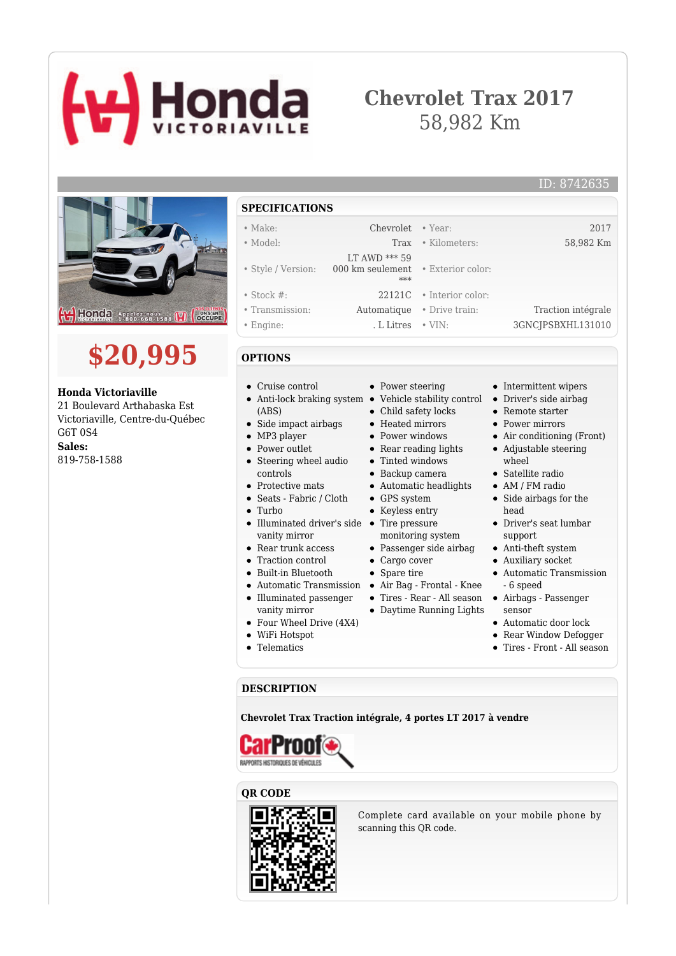# **Honda**

# **Chevrolet Trax 2017** 58,982 Km





#### **Honda Victoriaville**

21 Boulevard Arthabaska Est Victoriaville, Centre-du-Québec G6T 0S4 **Sales:** 819-758-1588

#### **SPECIFICATIONS**

#### • Make: Chevrolet • Year: 2017 • Model: Trax • Kilometers: 58,982 Km • Style / Version: LT AWD \*\*\* 59 000 km seulement • Exterior color: \*\*\* • Stock #: 22121C • Interior color: • Transmission: Automatique • Drive train: Traction intégrale • Engine: . L Litres • VIN: 3GNCJPSBXHL131010

### **OPTIONS**

- Cruise control
- (ABS)
- Side impact airbags
- MP3 player
- Power outlet
- Steering wheel audio controls
- Protective mats
- Seats Fabric / Cloth
- Turbo
- Illuminated driver's side Tire pressure vanity mirror
- Rear trunk access
- Traction control
- Built-in Bluetooth
- 
- Illuminated passenger
- vanity mirror
- Four Wheel Drive (4X4)
- WiFi Hotspot
- Telematics
- Power steering
- Anti-lock braking system Vehicle stability control Driver's side airbag
	- Child safety locks
	- Heated mirrors
	- Power windows
	- Rear reading lights
	- Tinted windows
	- Backup camera
	- Automatic headlights
	- GPS system
	- Keyless entry
	-
	- monitoring system
	- Passenger side airbag
	- Cargo cover
	- Spare tire
- Automatic Transmission Air Bag Frontal Knee
	- Tires Rear All season
	- Daytime Running Lights
- Automatic door lock
- Rear Window Defogger
- Tires Front All season

#### **DESCRIPTION**

**Chevrolet Trax Traction intégrale, 4 portes LT 2017 à vendre**



#### **QR CODE**



Complete card available on your mobile phone by scanning this QR code.

- Intermittent wipers
- Remote starter
- Power mirrors
- Air conditioning (Front)
- Adjustable steering wheel
- Satellite radio
- AM / FM radio
- Side airbags for the head
- Driver's seat lumbar support
- Anti-theft system
- Auxiliary socket
- Automatic Transmission - 6 speed
- Airbags Passenger sensor
- 
- 
- 

ID: 8742635